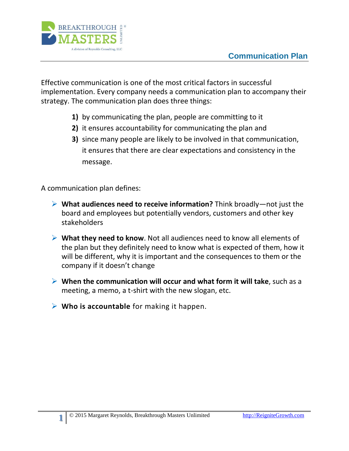

Effective communication is one of the most critical factors in successful implementation. Every company needs a communication plan to accompany their strategy. The communication plan does three things:

- **1)** by communicating the plan, people are committing to it
- **2)** it ensures accountability for communicating the plan and
- **3)** since many people are likely to be involved in that communication, it ensures that there are clear expectations and consistency in the message.

A communication plan defines:

**1**

- **What audiences need to receive information?** Think broadly—not just the board and employees but potentially vendors, customers and other key stakeholders
- **What they need to know**. Not all audiences need to know all elements of the plan but they definitely need to know what is expected of them, how it will be different, why it is important and the consequences to them or the company if it doesn't change
- **When the communication will occur and what form it will take**, such as a meeting, a memo, a t-shirt with the new slogan, etc.
- **Who is accountable** for making it happen.